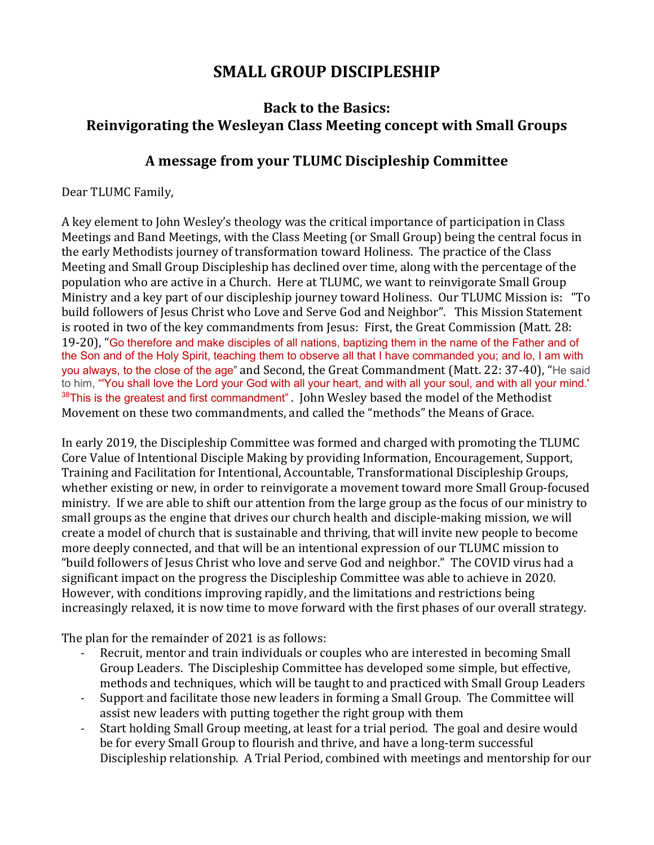## **SMALL GROUP DISCIPLESHIP**

## **Back to the Basics: Reinvigorating the Wesleyan Class Meeting concept with Small Groups**

## **A message from your TLUMC Discipleship Committee**

Dear TLUMC Family,

A key element to John Wesley's theology was the critical importance of participation in Class Meetings and Band Meetings, with the Class Meeting (or Small Group) being the central focus in the early Methodists journey of transformation toward Holiness. The practice of the Class Meeting and Small Group Discipleship has declined over time, along with the percentage of the population who are active in a Church. Here at TLUMC, we want to reinvigorate Small Group Ministry and a key part of our discipleship journey toward Holiness. Our TLUMC Mission is: "To build followers of Jesus Christ who Love and Serve God and Neighbor". This Mission Statement is rooted in two of the key commandments from Jesus: First, the Great Commission (Matt. 28: 19-20), "Go therefore and make disciples of all nations, baptizing them in the name of the Father and of the Son and of the Holy Spirit, teaching them to observe all that I have commanded you; and lo, I am with you always, to the close of the age" and Second, the Great Commandment (Matt. 22: 37-40), "He said to him, "'You shall love the Lord your God with all your heart, and with all your soul, and with all your mind.'  $38$ This is the greatest and first commandment". John Wesley based the model of the Methodist Movement on these two commandments, and called the "methods" the Means of Grace.

In early 2019, the Discipleship Committee was formed and charged with promoting the TLUMC Core Value of Intentional Disciple Making by providing Information, Encouragement, Support, Training and Facilitation for Intentional, Accountable, Transformational Discipleship Groups, whether existing or new, in order to reinvigorate a movement toward more Small Group-focused ministry. If we are able to shift our attention from the large group as the focus of our ministry to small groups as the engine that drives our church health and disciple-making mission, we will create a model of church that is sustainable and thriving, that will invite new people to become more deeply connected, and that will be an intentional expression of our TLUMC mission to "build followers of Jesus Christ who love and serve God and neighbor." The COVID virus had a significant impact on the progress the Discipleship Committee was able to achieve in 2020. However, with conditions improving rapidly, and the limitations and restrictions being increasingly relaxed, it is now time to move forward with the first phases of our overall strategy.

The plan for the remainder of 2021 is as follows:

- Recruit, mentor and train individuals or couples who are interested in becoming Small Group Leaders. The Discipleship Committee has developed some simple, but effective, methods and techniques, which will be taught to and practiced with Small Group Leaders
- Support and facilitate those new leaders in forming a Small Group. The Committee will assist new leaders with putting together the right group with them
- Start holding Small Group meeting, at least for a trial period. The goal and desire would be for every Small Group to flourish and thrive, and have a long-term successful Discipleship relationship. A Trial Period, combined with meetings and mentorship for our